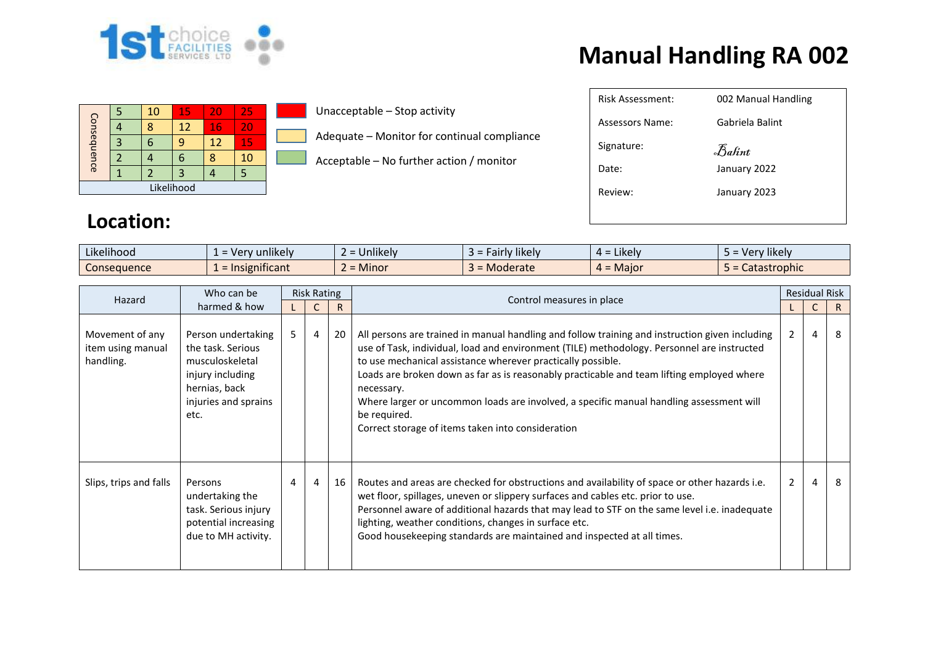

## **Manual Handling RA 002**

|             |  | 10 | 15                | 20 | 25 |  |  |
|-------------|--|----|-------------------|----|----|--|--|
| Consequence |  | ጸ  | $12 \overline{ }$ | 16 | 20 |  |  |
|             |  |    |                   | 12 | 15 |  |  |
|             |  |    |                   | Я  | 10 |  |  |
|             |  |    |                   |    |    |  |  |
| Likelihood  |  |    |                   |    |    |  |  |

Unacceptable – Stop activity

Adequate – Monitor for continual compliance

Acceptable – No further action / monitor

| Risk Assessment: | 002 Manual Handling |
|------------------|---------------------|
| Assessors Name:  | Gabriela Balint     |
| Signature:       | Balint              |
| Date:            | January 2022        |
| Review:          | January 2023        |
|                  |                     |

## **Location:**

| $\cdots$<br>$\cdots$<br>Likelihood | <b>unlikely</b><br>$\overline{10}$<br>$\mathbf{v}$ | $\cdots$<br>. .<br><b>Unlikely</b> | $\cdots$<br>*likely<br>$-2101$<br>-all IV | $L$ <sub>Kelv</sub><br>-<br>∸ – | $\cdots$<br>Very likely |
|------------------------------------|----------------------------------------------------|------------------------------------|-------------------------------------------|---------------------------------|-------------------------|
| Consequence                        | .<br>$=$ Insignificant                             | $\bullet$<br>Minor<br>-            | Moderate                                  | Maior<br><u>.  –</u>            | Catastrophic            |

| Who can be<br>Hazard                              | <b>Risk Rating</b>                                                                                                              |   |   |    | <b>Residual Risk</b>                                                                                                                                                                                                                                                                                                                                                                                                                                                                                                                   |                |   |              |
|---------------------------------------------------|---------------------------------------------------------------------------------------------------------------------------------|---|---|----|----------------------------------------------------------------------------------------------------------------------------------------------------------------------------------------------------------------------------------------------------------------------------------------------------------------------------------------------------------------------------------------------------------------------------------------------------------------------------------------------------------------------------------------|----------------|---|--------------|
| harmed & how                                      |                                                                                                                                 |   |   | R  | Control measures in place                                                                                                                                                                                                                                                                                                                                                                                                                                                                                                              |                |   | $\mathsf{R}$ |
| Movement of any<br>item using manual<br>handling. | Person undertaking<br>the task. Serious<br>musculoskeletal<br>injury including<br>hernias, back<br>injuries and sprains<br>etc. | 5 | 4 | 20 | All persons are trained in manual handling and follow training and instruction given including<br>use of Task, individual, load and environment (TILE) methodology. Personnel are instructed<br>to use mechanical assistance wherever practically possible.<br>Loads are broken down as far as is reasonably practicable and team lifting employed where<br>necessary.<br>Where larger or uncommon loads are involved, a specific manual handling assessment will<br>be required.<br>Correct storage of items taken into consideration | $\overline{2}$ | 4 | 8            |
| Slips, trips and falls                            | Persons<br>undertaking the<br>task. Serious injury<br>potential increasing<br>due to MH activity.                               | 4 | 4 | 16 | Routes and areas are checked for obstructions and availability of space or other hazards i.e.<br>wet floor, spillages, uneven or slippery surfaces and cables etc. prior to use.<br>Personnel aware of additional hazards that may lead to STF on the same level i.e. inadequate<br>lighting, weather conditions, changes in surface etc.<br>Good housekeeping standards are maintained and inspected at all times.                                                                                                                    | $2^{\circ}$    | 4 | 8            |